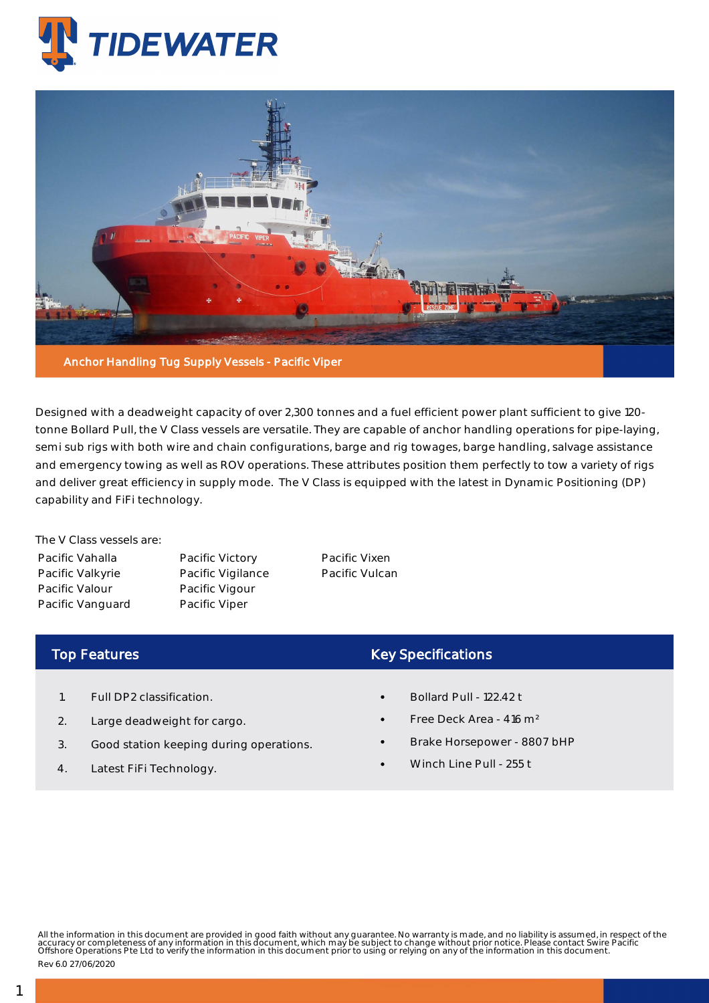



Designed with a deadweight capacity of over 2,300 tonnes and a fuel efficient power plant sufficient to give 120 tonne Bollard Pull, the V Class vessels are versatile. They are capable of anchor handling operations for pipe-laying, semi sub rigs with both wire and chain configurations, barge and rig towages, barge handling, salvage assistance and emergency towing as well as ROV operations. These attributes position them perfectly to tow a variety of rigs and deliver great efficiency in supply mode. The V Class is equipped with the latest in Dynamic Positioning (DP) capability and FiFi technology.

The V Class vessels are: Pacific Vahalla Pacific Valkyrie Pacific Valour Pacific Vanguard

Pacific Victory Pacific Vigilance Pacific Vigour Pacific Viper

Pacific Vixen Pacific Vulcan

## Top Features

- 1. Full DP2 classification.
- 2. Large deadweight for cargo.
- 3. Good station keeping during operations.
- 4. Latest FiFi Technology.

## Key Specifications

- Bollard Pull 122.42 t
- Free Deck Area 416 m²
- Brake Horsepower 8807 bHP
- Winch Line Pull 255 t

All the information in this document are provided in good faith without any guarantee. No warranty is made, and no liability is assumed, in respect of the<br>accuracy or completeness of any information in this document, which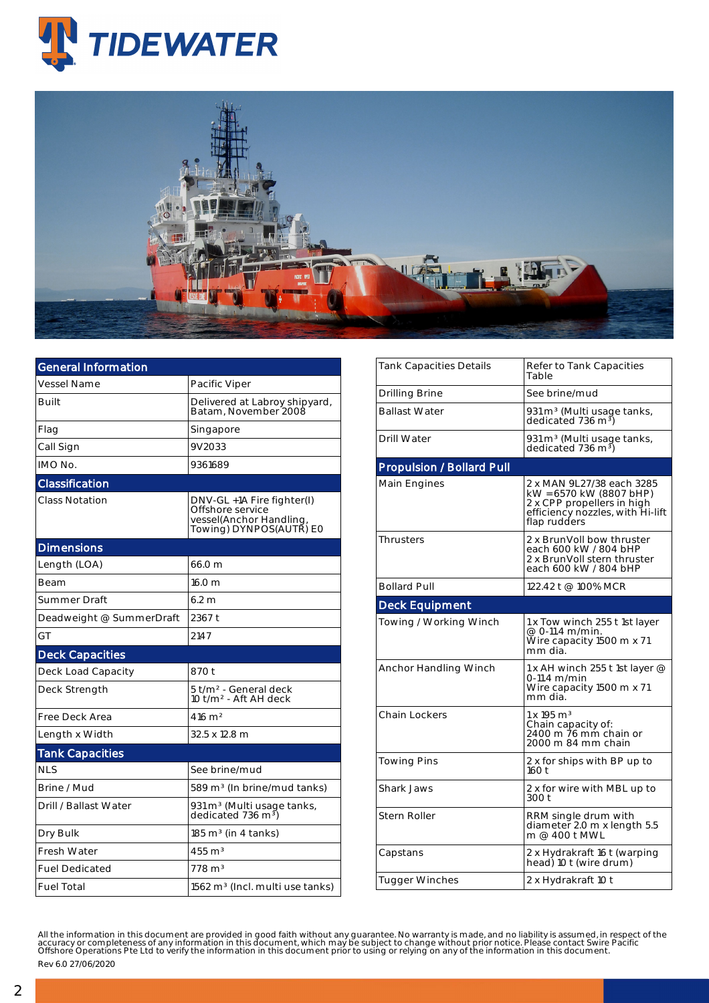



| General Information      |                                                                                                      |  |  |  |  |
|--------------------------|------------------------------------------------------------------------------------------------------|--|--|--|--|
| Vessel Name              | Pacific Viper                                                                                        |  |  |  |  |
| Built                    | Delivered at Labroy shipyard,<br>Batam, November 2008                                                |  |  |  |  |
| Flag                     | Singapore                                                                                            |  |  |  |  |
| Call Sign                | 9V2033                                                                                               |  |  |  |  |
| IMO No.                  | 9361689                                                                                              |  |  |  |  |
| Classification           |                                                                                                      |  |  |  |  |
| Class Notation           | DNV-GL +1A Fire fighter(I)<br>Offshore service<br>vessel(Anchor Handling,<br>Towing) DYNPOS(AUTŘ) E0 |  |  |  |  |
| <b>Dimensions</b>        |                                                                                                      |  |  |  |  |
| Length (LOA)             | 66.0 m                                                                                               |  |  |  |  |
| Beam                     | 16.0 <sub>m</sub>                                                                                    |  |  |  |  |
| Summer Draft             | 6.2 <sub>m</sub>                                                                                     |  |  |  |  |
| Deadweight @ SummerDraft | 2367 t                                                                                               |  |  |  |  |
| GT                       | 2147                                                                                                 |  |  |  |  |
| <b>Deck Capacities</b>   |                                                                                                      |  |  |  |  |
| Deck Load Capacity       | 870 t                                                                                                |  |  |  |  |
| Deck Strength            | 5 t/m <sup>2</sup> - General deck<br>10 t/m <sup>2</sup> - Aft AH deck                               |  |  |  |  |
| Free Deck Area           | $416 \text{ m}^2$                                                                                    |  |  |  |  |
| Length x Width           | 32.5 x 12.8 m                                                                                        |  |  |  |  |
| <b>Tank Capacities</b>   |                                                                                                      |  |  |  |  |
| <b>NLS</b>               | See brine/mud                                                                                        |  |  |  |  |
| Brine / Mud              | 589 m <sup>3</sup> (In brine/mud tanks)                                                              |  |  |  |  |
| Drill / Ballast Water    | 931 m <sup>3</sup> (Multi usage tanks,<br>dedicated 736 m <sup>3</sup> )                             |  |  |  |  |
| Dry Bulk                 | $185 \text{ m}^3$ (in 4 tanks)                                                                       |  |  |  |  |
| Fresh Water              | $455 \text{ m}^3$                                                                                    |  |  |  |  |
| <b>Fuel Dedicated</b>    | $778 \text{ m}^3$                                                                                    |  |  |  |  |
| <b>Fuel Total</b>        | 1562 m <sup>3</sup> (Incl. multi use tanks)                                                          |  |  |  |  |

| Tank Capacities Details          | Refer to Tank Capacities<br>Table                                                                                                      |  |  |  |  |
|----------------------------------|----------------------------------------------------------------------------------------------------------------------------------------|--|--|--|--|
| Drilling Brine                   | See brine/mud                                                                                                                          |  |  |  |  |
| <b>Ballast Water</b>             | 931 m <sup>3</sup> (Multi usage tanks,<br>dedicated 736 m <sup>3</sup> )                                                               |  |  |  |  |
| Drill Water                      | 931 m <sup>3</sup> (Multi usage tanks,<br>dedicated 736 m <sup>3</sup> )                                                               |  |  |  |  |
| <b>Propulsion / Bollard Pull</b> |                                                                                                                                        |  |  |  |  |
| Main Engines                     | 2 x MAN 9L27/38 each 3285<br>kW = 6570 kW (8807 bHP)<br>2 x CPP propellers in high<br>efficiency nozzles, with Hi-lift<br>flap rudders |  |  |  |  |
| <b>Thrusters</b>                 | 2 x BrunVoll bow thruster<br>each 600 kW / 804 bHP<br>2 x BrunVoll stern thruster<br>each 600 kW / 804 bHP                             |  |  |  |  |
| <b>Bollard Pull</b>              | 122.42 t @ 100% MCR                                                                                                                    |  |  |  |  |
| <b>Deck Equipment</b>            |                                                                                                                                        |  |  |  |  |
| Towing / Working Winch           | 1 x Tow winch 255 t 1st layer<br>@ 0-11.4 m/min.<br>Wire capacity 1500 m x 71<br>mm dia.                                               |  |  |  |  |
| Anchor Handling Winch            | 1 x AH winch 255 t 1st layer $@$<br>0-11.4 m/min<br>Wire capacity 1500 m x 71<br>mm dia.                                               |  |  |  |  |
| <b>Chain Lockers</b>             | $1 \times 195$ m <sup>3</sup><br>Chain capacity of:<br>2400 m 76 mm chain or<br>2000 m 84 mm chain                                     |  |  |  |  |
| Towing Pins                      | 2 x for ships with BP up to<br>160t                                                                                                    |  |  |  |  |
| <b>Shark Jaws</b>                | 2 x for wire with MBL up to<br>300 t                                                                                                   |  |  |  |  |
| <b>Stern Roller</b>              | RRM single drum with<br>diameter 2.0 m x length 5.5<br>m @ 400 t MWL                                                                   |  |  |  |  |
| Capstans                         | 2 x Hydrakraft 16 t (warping<br>head) 10 t (wire drum)                                                                                 |  |  |  |  |
| <b>Tugger Winches</b>            | 2 x Hydrakraft 10 t                                                                                                                    |  |  |  |  |

All the information in this document are provided in good faith without any guarantee. No warranty is made, and no liability is assumed, in respect of the<br>accuracy or completeness of any information in this document, which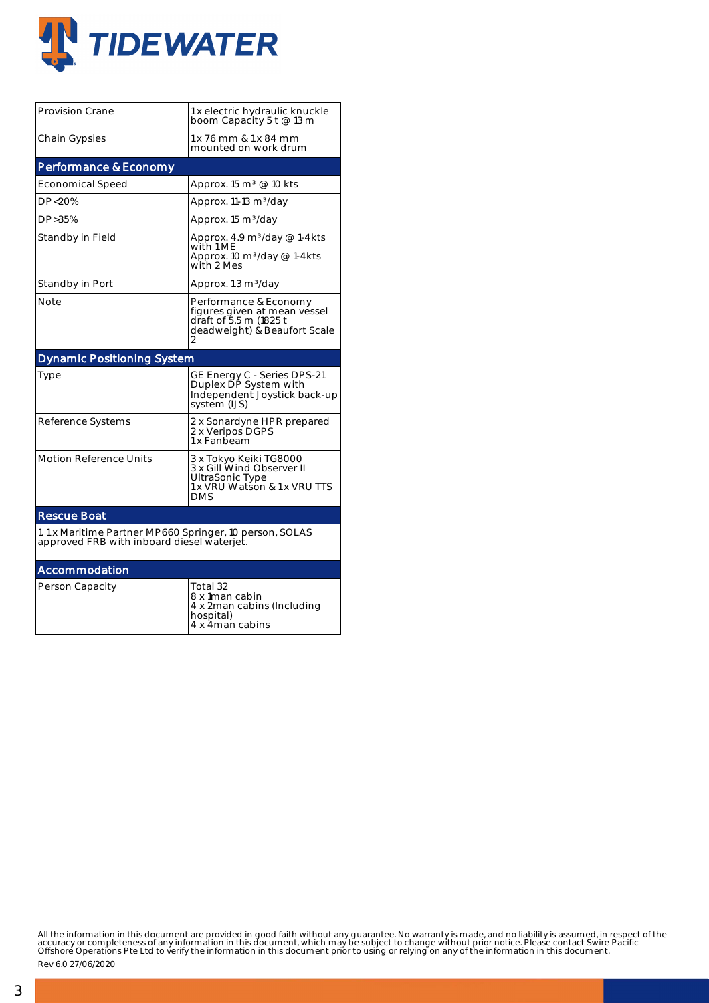

| <b>Provision Crane</b>                                                                                | 1 x electric hydraulic knuckle<br>boom Capacity 5 t @ 13 m                                                           |  |  |  |  |  |
|-------------------------------------------------------------------------------------------------------|----------------------------------------------------------------------------------------------------------------------|--|--|--|--|--|
| <b>Chain Gypsies</b>                                                                                  | 1 x 76 mm & 1 x 84 mm<br>mounted on work drum                                                                        |  |  |  |  |  |
| Performance & Economy                                                                                 |                                                                                                                      |  |  |  |  |  |
| <b>Economical Speed</b>                                                                               | Approx. 15 m <sup>3</sup> @ 10 kts                                                                                   |  |  |  |  |  |
| DP<20%                                                                                                | Approx. 11-13 m <sup>3</sup> /day                                                                                    |  |  |  |  |  |
| DP>35%                                                                                                | Approx. 15 m <sup>3</sup> /day                                                                                       |  |  |  |  |  |
| Standby in Field                                                                                      | Approx. 4.9 m <sup>3</sup> /day @ 1-4kts<br>with 1 ME<br>Approx. 10 m <sup>3</sup> /day @ 1-4kts<br>with 2 Mes       |  |  |  |  |  |
| Standby in Port                                                                                       | Approx. 1.3 m <sup>3</sup> /day                                                                                      |  |  |  |  |  |
| Note                                                                                                  | Performance & Economy<br>figures given at mean vessel<br>draft of 5.5 m (1825 t<br>deadweight) & Beaufort Scale<br>2 |  |  |  |  |  |
| <b>Dynamic Positioning System</b>                                                                     |                                                                                                                      |  |  |  |  |  |
| Type                                                                                                  | GE Energy C - Series DPS-21<br>Duplex DP System with<br>Independent Joystick back-up<br>system (IJS)                 |  |  |  |  |  |
| Reference Systems                                                                                     | 2 x Sonardyne HPR prepared<br>2 x Veripos DGPS<br>1 x Fanbeam                                                        |  |  |  |  |  |
| <b>Motion Reference Units</b>                                                                         | 3 x Tokyo Keiki TG8000<br>3 x Gill Wind Observer II<br>UltraSonic Type<br>1 x VRU Watson & 1 x VRU TTS<br><b>DMS</b> |  |  |  |  |  |
| <b>Rescue Boat</b>                                                                                    |                                                                                                                      |  |  |  |  |  |
| 1.1 x Maritime Partner MP660 Springer, 10 person, SOLAS<br>approved FRB with inboard diesel waterjet. |                                                                                                                      |  |  |  |  |  |
| Accommodation                                                                                         |                                                                                                                      |  |  |  |  |  |
| Person Capacity                                                                                       | Total 32<br>8 x 1man cabin<br>4 x 2man cabins (Including<br>hospital)<br>4 x 4man cabins                             |  |  |  |  |  |

All the information in this document are provided in good faith without any guarantee. No warranty is made, and no liability is assumed, in respect of the<br>accuracy or completeness of any information in this document, which